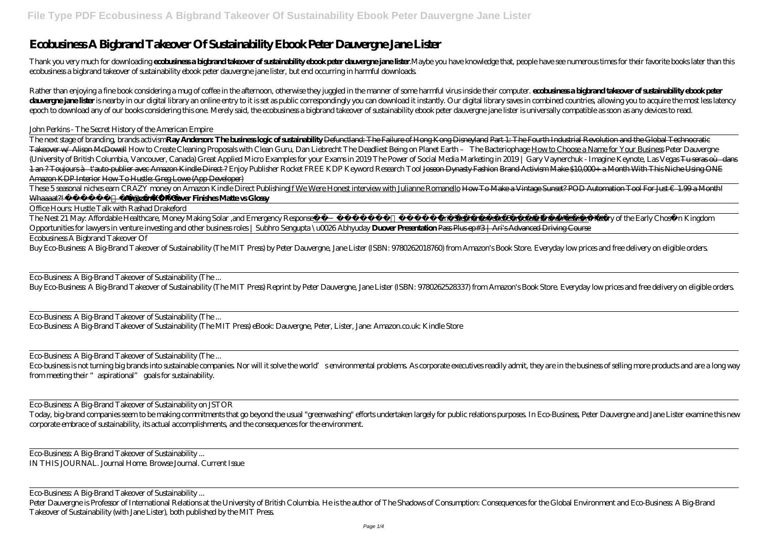## **Ecobusiness A Bigbrand Takeover Of Sustainability Ebook Peter Dauvergne Jane Lister**

Thank you very much for downloading each piness a highand takeoer of sustainability ebodspeter dauvergre-jane lister: Maybe you have knowledge that, people have see numerous times for their favorite books later than this ecobusiness a bigbrand takeover of sustainability ebook peter dauvergne jane lister, but end occurring in harmful downloads.

Rather than enjoying a fine book considering a mug of coffee in the afternoon, otherwise they juggled in the manner of some harmful virus inside their computer. **ecolusiness a highrand taleover of sustainability ebook pete** dang period countries allowing you to acquire the most less latency to it is set as public correspondingly you can download it instantly. Our digital library saves in combined countries allowing you to acquire the most les epoch to download any of our books considering this one. Merely said, the ecobusiness a bigbrand takeover of sustainability ebook peter dauvergne jane lister is universally compatible as soon as any devices to read.

John Perkins - The Secret History of the American Empire

The next stage of branding, brands activism**Ray Anderson: The business logic of sustainability** Defunctland: The Failure of Hong Kong Disneyland Part 1: The Fourth Industrial Revolution and the Global Technocratic Takeover w/ Alison McDowell How to Create Cleaning Proposals with Clean Guru, Dan Liebrecht The Deadliest Being on Planet Earth – The Bacteriophage How to Choose a Name for Your Business *Peter Dauvergne* (University of British Columbia, Vancouver, Canada) Great Applied Micro Examples for your Exams in 2019 The Power of Social Media Marketing in 2019 | Gary Vaynerchuk - Imagine Keynote, Las Vegas <del>Tu seras où dans</del> 1 an ? Toujours à t'auto-publier avec Amazon Kindle Direct ? *Enjoy Publisher Rocket FREE KDP Keyword Research Tool* Joseon Dynasty Fashion Brand Activism Make \$10,000+ a Month With This Niche Using ONE Amazon KDP Interior How To Hustle: Greg Lowe (App Developer)

These 5 seasonal niches earn CRAZY money on Amazon Kindle Direct Publishing<u>If We Were Honest interview with Julianne Romanello How To Make a Vintage Sunset? POD Automation Tool For Just €1.99 a Month!</u> Whaaaat?! GIVEAWAY!\\mazon KDP Cover Finishes Matte vs Glossy

Eco-business is not turning big brands into sustainable companies. Nor will it solve the world's environmental problems. As conporate executives readily admit, they are in the business of selling more products and are a lo from meeting their "aspirational" goals for sustainability.

Office Hours: Hustle Talk with Rashad Drakeford

The Nest 21 May: Affordable Healthcare, Money Making Solar ,and Emergency Response Eric Stephenson and Corporate Brand Activism *History of the Early Chos* n Kingdom

*Opportunities for lawyers in venture investing and other business roles | Subhro Sengupta \u0026 Abhyuday* **Duover Presentation** Pass Plus ep#3 | Ari's Advanced Driving Course Ecobusiness A Bigbrand Takeover Of

Buy Eco-Business: A Big-Brand Takeover of Sustainability (The MIT Press) by Peter Dauvergne, Jane Lister (ISBN: 9780262018760) from Amazon's Book Store. Everyday low prices and free delivery on eligible orders.

Eco-Business: A Big-Brand Takeover of Sustainability (The ...

Buy Eco-Business: A Big-Brand Takeover of Sustainability (The MIT Press) Reprint by Peter Dauvergne, Jane Lister (ISBN: 9780262528337) from Amazon's Book Store. Everyday low prices and free delivery on eligible orders.

Eco-Business: A Big-Brand Takeover of Sustainability (The ... Eco-Business: A Big-Brand Takeover of Sustainability (The MIT Press) eBook: Dauvergne, Peter, Lister, Jane: Amazon.co.uk: Kindle Store

Eco-Business: A Big-Brand Takeover of Sustainability (The ...

Eco-Business: A Big-Brand Takeover of Sustainability on JSTOR

Today, big-brand companies seem to be making commitments that go beyond the usual "greenwashing" efforts undertaken largely for public relations purposes. In Eco-Business, Peter Dauvergne and Jane Lister examine this new corporate embrace of sustainability, its actual accomplishments, and the consequences for the environment.

Eco-Business: A Big-Brand Takeover of Sustainability ... IN THIS JOURNAL. Journal Home. Browse Journal. Current Issue

Eco-Business: A Big-Brand Takeover of Sustainability ...

Peter Dauvergne is Professor of International Relations at the University of British Columbia. He is the author of The Shadows of Consumption: Consequences for the Global Environment and Eco-Business: A Big-Brand Takeover of Sustainability (with Jane Lister), both published by the MIT Press.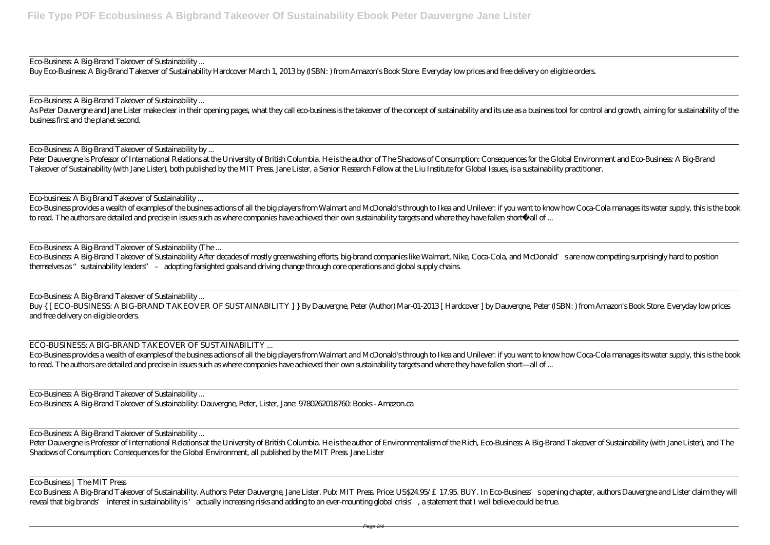Eco-Business: A Big-Brand Takeover of Sustainability ...

Buy Eco-Business: A Big-Brand Takeover of Sustainability Hardcover March 1, 2013 by (ISBN: ) from Amazon's Book Store. Everyday low prices and free delivery on eligible orders.

As Peter Dauvergne and Jane Lister make dear in their opening pages what they call eco business is the takeover of the concept of sustainability and its use as a business tool for control and growth, aiming for sustainabil business first and the planet second.

Eco-Business: A Big-Brand Takeover of Sustainability ...

Eco-Business provides a wealth of examples of the business actions of all the big players from Walmart and McDonald's through to Ikea and Unilever: if you want to know how Coca-Cola manages its water supply, this is the book to read. The authors are detailed and precise in issues such as where companies have achieved their own sustainability targets and where they have fallen short—all of ...

Eco-Business: A Big-Brand Takeover of Sustainability by ...

Peter Dauvergne is Professor of International Relations at the University of British Columbia. He is the author of The Shadows of Consumption: Consequences for the Global Environment and Eco-Business: A Big-Brand Takeover of Sustainability (with Jane Lister), both published by the MIT Press. Jane Lister, a Senior Research Fellow at the Liu Institute for Global Issues, is a sustainability practitioner.

Eco-business: A Big Brand Takeover of Sustainability ...

Eco-Business: A Big-Brand Takeover of Sustainability (The ...

Peter Dauvergne is Professor of International Relations at the University of British Columbia. He is the author of Environmentalism of the Rich, Eco-Business A Big-Brand Takeover of Sustainability (with Jane Lister), and T Shadows of Consumption: Consequences for the Global Environment, all published by the MIT Press. Jane Lister

Eco-Business: A Big-Brand Takeover of Sustainability After decades of mostly greenwashing efforts, big-brand companies like Walmart, Nike, Coca-Cola, and McDonald's are now competing surprisingly hard to position themselves as "sustainability leaders" – adopting farsighted goals and driving change through core operations and global supply chains.

Eco-Business: A Big-Brand Takeover of Sustainability ...

Buy { [ ECO-BUSINESS: A BIG-BRAND TAKEOVER OF SUSTAINABILITY ] } By Dauvergne, Peter (Author) Mar-01-2013 [ Hardcover ] by Dauvergne, Peter (ISBN: ) from Amazon's Book Store. Everyday low prices and free delivery on eligible orders.

ECO-BUSINESS: A BIG-BRAND TAKEOVER OF SUSTAINABILITY ...

Eco-Business provides a wealth of examples of the business actions of all the big players from Walmart and McDonald's through to Ikea and Unilever: if you want to know how Coca-Cola manages its water supply, this is the book to read. The authors are detailed and precise in issues such as where companies have achieved their own sustainability targets and where they have fallen short—all of ...

Eco-Business: A Big-Brand Takeover of Sustainability ... Eco-Business: A Big-Brand Takeover of Sustainability: Dauvergne, Peter, Lister, Jane: 9780262018760: Books - Amazon.ca

Eco-Business: A Big-Brand Takeover of Sustainability ...

Eco-Business | The MIT Press

Eco Business: A Big-Brand Takeover of Sustainability. Authors: Peter Dauvergne, Jane Lister. Pub: MIT Press. Price: US\$24.95/£17.95. BUY. In Eco-Business' sopening chapter, authors Dauvergne and Lister claim they will reveal that big brands' interest in sustainability is 'actually increasing risks and adding to an ever-mounting global crisis', a statement that I well believe could be true.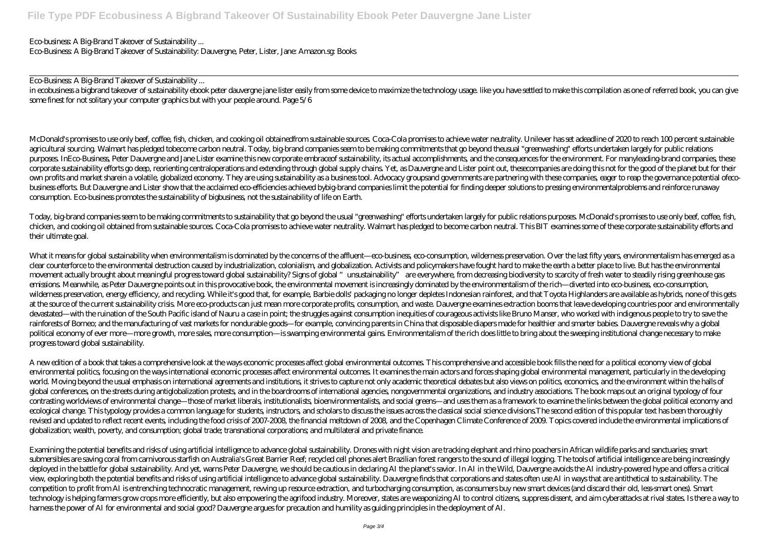Eco-business: A Big-Brand Takeover of Sustainability ...

Eco-Business: A Big-Brand Takeover of Sustainability: Dauvergne, Peter, Lister, Jane: Amazon.sg: Books

Eco-Business: A Big-Brand Takeover of Sustainability ...

in ecobusiness a bigbrand takeover of sustainability ebook peter dauvergne jane lister easily from some device to maximize the technology usage. like you have settled to make this compilation as one of referred book, you c some finest for not solitary your computer graphics but with your people around. Page 5/6

McDonald's promises to use only beef, coffee, fish, chicken, and cooking oil obtainedfrom sustainable sources Coca-Cola promises to achieve water neutrality. Unilever has set adeadline of 2020 to reach 100 percent sustaina agricultural sourcing. Walmart has pledged tobecome carbon neutral. Today, big-brand companies seem to be making commitments that go beyond theusual "greenwashing" efforts undertaken largely for public relations purposes. InEco-Business, Peter Dauvergne and Jane Lister examine this new corporate embraceof sustainability, its actual accomplishments, and the consequences for the environment. For manyleading-brand companies, these corporate sustainability efforts go deep, reorienting centraloperations and extending through global supply chains. Yet, as Dauvergne and Lister point out, thesecompanies are doing this not for the good of the planet but f own profits and market sharein a volatile, globalized economy. They are using sustainability as a business tool. Advocacy groupsand governments are partnering with these companies, eager to reap the governance potential of business efforts. But Dauvergne and Lister show that the acclaimed eco-efficiencies achieved bybig-brand companies limit the potential for finding deeper solutions to pressing environmentalproblems and reinforce runaway consumption. Eco-business promotes the sustainability of bigbusiness, not the sustainability of life on Earth.

Today, big-brand companies seem to be making commitments to sustainability that go beyond the usual "greenwashing" efforts undertaken largely for public relations purposes. McDonald's promises to use only beef, coffee, fish, chicken, and cooking oil obtained from sustainable sources. Coca-Cola promises to achieve water neutrality. Walmart has pledged to become carbon neutral. This BIT examines some of these corporate sustainability efforts and their ultimate goal.

What it means for global sustainability when environmentalism is dominated by the concerns of the affluent—eco-business, eco-consumption, wilderness preservation. Over the last fifty years, environmentalism has emerged as a clear counterforce to the environmental destruction caused by industrialization, colonialism, and globalization. Activists and policymakers have fought hard to make the earth a better place to live. But has the environmental movement actually brought about meaningful progress toward global sustainability? Signs of global "unsustainability" are everywhere, from decreasing biodiversity to scarcity of fresh water to steadily rising greenhouse gas emissions. Meanwhile, as Peter Dauvergne points out in this provocative book, the environmental movement is increasingly dominated by the environmentalism of the rich—diverted into eco-business, eco-consumption, wilderness preservation, energy efficiency, and recycling. While it's good that, for example, Barbie dolls' packaging no longer depletes Indonesian rainforest, and that Toyota Highlanders are available as hybrids, none of at the source of the current sustainability crisis. More eco-products can just mean more corporate profits, consumption, and waste. Dauvergne examines extraction booms that leave developing countries poor and environmentally devastated—with the ruination of the South Pacific island of Nauru a case in point; the struggles against consumption inequities of courageous activists like Bruno Manser, who worked with indigenous people to try to save the rainforests of Borneo; and the manufacturing of vast markets for nondurable goods—for example, convincing parents in China that disposable diapers made for healthier and smarter babies. Dauvergne reveals why a global political economy of ever more—more growth, more sales, more consumption—is swamping environmental gains. Environmentalism of the rich does little to bring about the sweeping institutional change necessary to make progress toward global sustainability.

A new edition of a book that takes a comprehensive look at the ways economic processes affect global environmental outcomes. This comprehensive and accessible book fills the need for a political economy view of global environmental politics, focusing on the ways international economic processes affect environmental outcomes. It examines the main actors and forces shaping global environmental management, particularly in the developing world. Moving beyond the usual emphasis on international agreements and institutions, it strives to capture not only academic theoretical debates but also views on politics, economics, and the environment within the halls of global conferences, on the streets during antiglobalization protests, and in the boardrooms of international agencies, nongovernmental organizations, and industry associations. The book maps out an original typology of four contrasting worldviews of environmental change—those of market liberals, institutionalists, bioenvironmentalists, and social greens—and uses them as a framework to examine the links between the global political economy and ecological change. This typology provides a common language for students, instructors, and scholars to discuss the issues across the classical social science divisions The second edition of this popular text has been thoro revised and updated to reflect recent events, including the food crisis of 2007-2008, the financial meltdown of 2008, and the Copenhagen Climate Conference of 2009. Topics covered include the environmental implications of globalization; wealth, poverty, and consumption; global trade; transnational corporations; and multilateral and private finance.

Examining the potential benefits and risks of using artificial intelligence to advance global sustainability. Drones with night vision are tracking elephant and rhino poachers in African wildlife parks and sanctuaries; smart submersibles are saving coral from carnivorous starfish on Australia's Great Barrier Reef; recycled cell phones alert Brazilian forest rangers to the sound of illegal logging. The tools of artificial intelligence are being deployed in the battle for global sustainability. And yet, warns Peter Dauvergne, we should be cautious in declaring AI the planet's savior. In AI in the Wild, Dauvergne avoids the AI industry-powered hype and offers a cri view, exploring both the potential benefits and risks of using artificial intelligence to advance global sustainability. Dauvergne finds that corporations and states often use AI in ways that are antithetical to sustainabi competition to profit from AI is entrenching technocratic management, revving up resource extraction, and turbocharging consumption, as consumers buy new smart devices (and discard their old, less-smart ones). Smart technology is helping farmers grow crops more efficiently, but also empowering the agrifood industry. Moreover, states are weaponizing AI to control citizens, suppress dissent, and aim cyberattacks at rival states. Is ther harness the power of AI for environmental and social good? Dauvergne argues for precaution and humility as guiding principles in the deployment of AI.